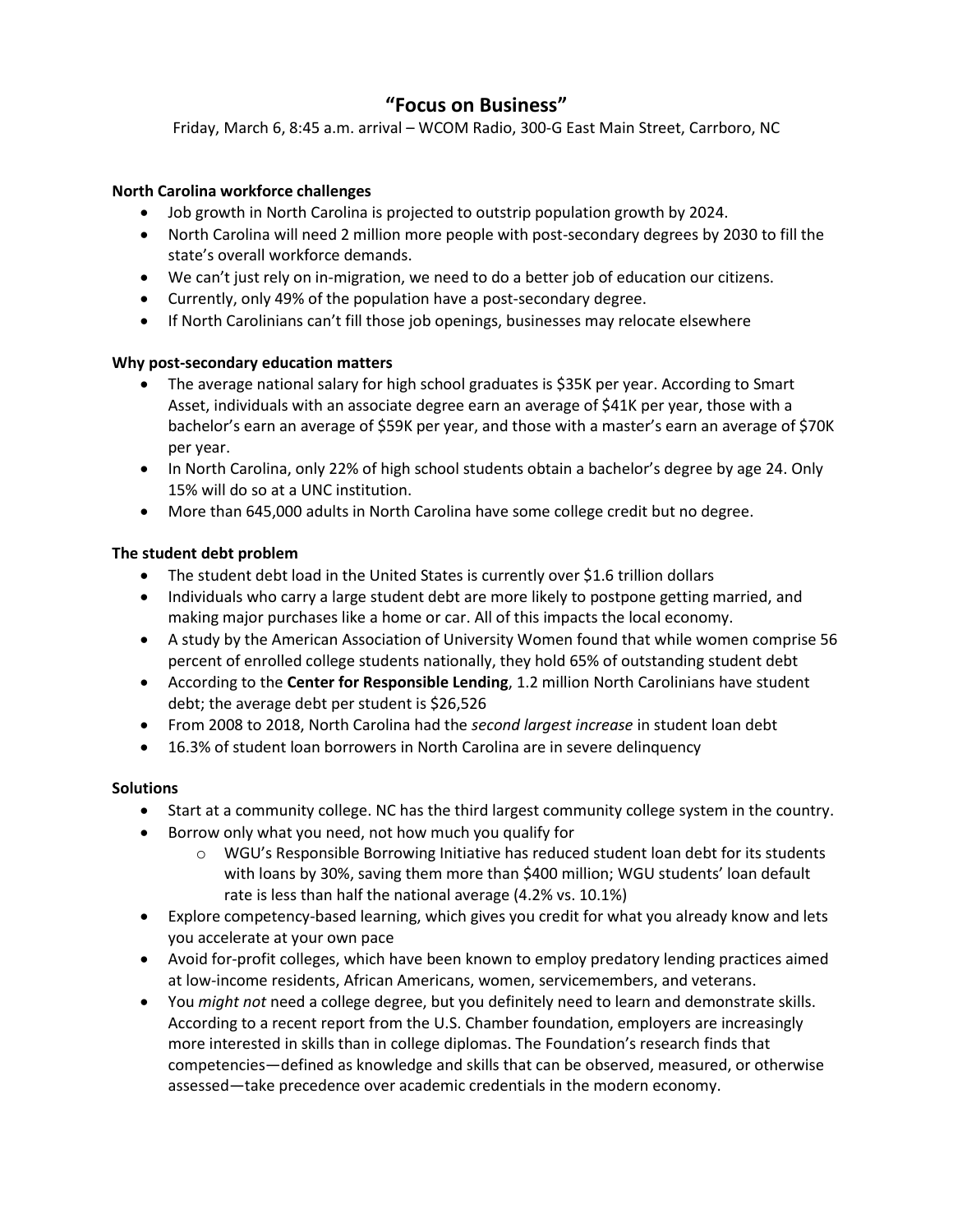# **"Focus on Business"**

Friday, March 6, 8:45 a.m. arrival – WCOM Radio, 300-G East Main Street, Carrboro, NC

# **North Carolina workforce challenges**

- Job growth in North Carolina is projected to outstrip population growth by 2024.
- North Carolina will need 2 million more people with post-secondary degrees by 2030 to fill the state's overall workforce demands.
- We can't just rely on in-migration, we need to do a better job of education our citizens.
- Currently, only 49% of the population have a post-secondary degree.
- If North Carolinians can't fill those job openings, businesses may relocate elsewhere

### **Why post-secondary education matters**

- The average national salary for high school graduates is \$35K per year. According to Smart Asset, individuals with an associate degree earn an average of \$41K per year, those with a bachelor's earn an average of \$59K per year, and those with a master's earn an average of \$70K per year.
- In North Carolina, only 22% of high school students obtain a bachelor's degree by age 24. Only 15% will do so at a UNC institution.
- More than 645,000 adults in North Carolina have some college credit but no degree.

# **The student debt problem**

- The student debt load in the United States is currently over \$1.6 trillion dollars
- Individuals who carry a large student debt are more likely to postpone getting married, and making major purchases like a home or car. All of this impacts the local economy.
- A study by the American Association of University Women found that while women comprise 56 percent of enrolled college students nationally, they hold 65% of outstanding student debt
- According to the **Center for Responsible Lending**, 1.2 million North Carolinians have student debt; the average debt per student is \$26,526
- From 2008 to 2018, North Carolina had the *second largest increase* in student loan debt
- 16.3% of student loan borrowers in North Carolina are in severe delinquency

### **Solutions**

- Start at a community college. NC has the third largest community college system in the country.
- Borrow only what you need, not how much you qualify for
	- $\circ$  WGU's Responsible Borrowing Initiative has reduced student loan debt for its students with loans by 30%, saving them more than \$400 million; WGU students' loan default rate is less than half the national average (4.2% vs. 10.1%)
- Explore competency-based learning, which gives you credit for what you already know and lets you accelerate at your own pace
- Avoid for-profit colleges, which have been known to employ predatory lending practices aimed at low-income residents, African Americans, women, servicemembers, and veterans.
- You *might not* need a college degree, but you definitely need to learn and demonstrate skills. According to a recent report from the U.S. Chamber foundation, employers are increasingly more interested in skills than in college diplomas. The Foundation's research finds that competencies—defined as knowledge and skills that can be observed, measured, or otherwise assessed—take precedence over academic credentials in the modern economy.